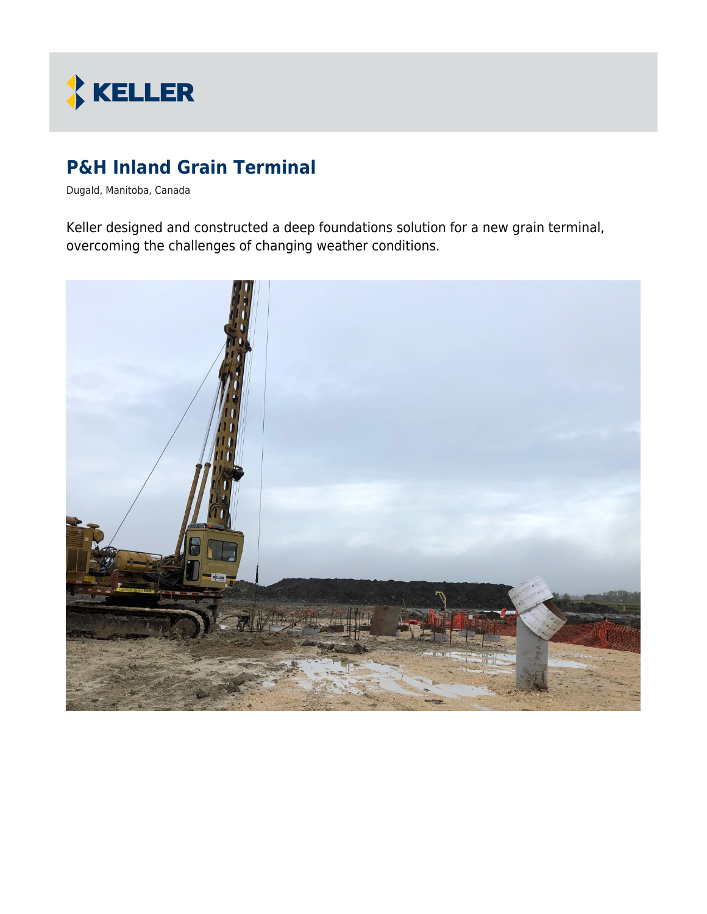

# **P&H Inland Grain Terminal**

Dugald, Manitoba, Canada

Keller designed and constructed a deep foundations solution for a new grain terminal, overcoming the challenges of changing weather conditions.